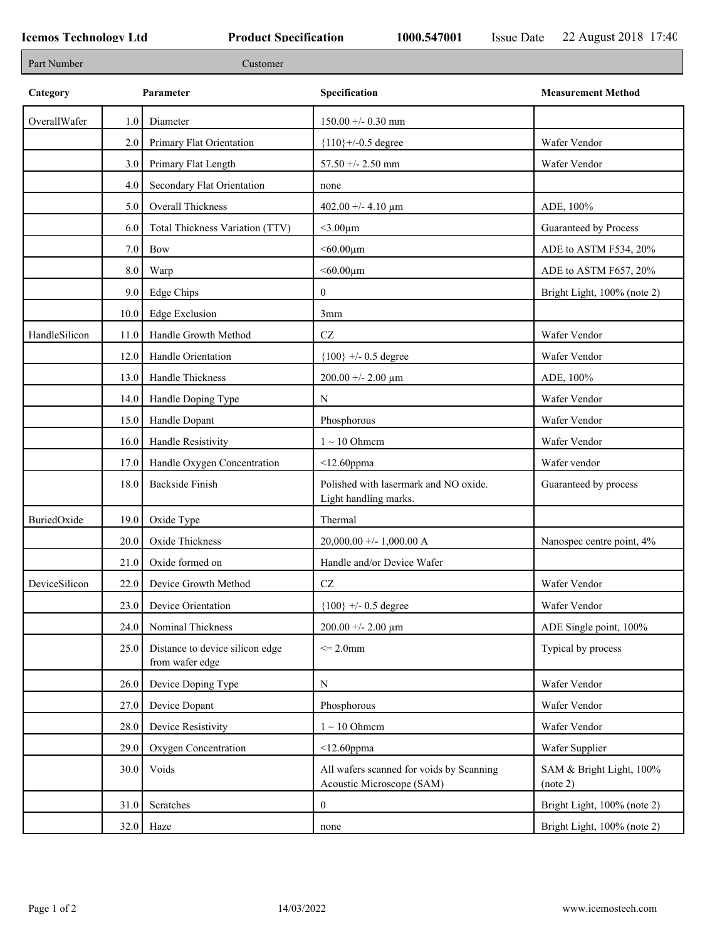| Part Number   |      | Customer                                           |                                                                       |                                      |
|---------------|------|----------------------------------------------------|-----------------------------------------------------------------------|--------------------------------------|
| Category      |      | Parameter                                          | Specification                                                         | <b>Measurement Method</b>            |
| OverallWafer  | 1.0  | Diameter                                           | $150.00 + -0.30$ mm                                                   |                                      |
|               | 2.0  | Primary Flat Orientation                           | ${110}$ +/-0.5 degree                                                 | Wafer Vendor                         |
|               | 3.0  | Primary Flat Length                                | $57.50 + - 2.50$ mm                                                   | Wafer Vendor                         |
|               | 4.0  | Secondary Flat Orientation                         | none                                                                  |                                      |
|               | 5.0  | Overall Thickness                                  | $402.00 + - 4.10 \text{ }\mu\text{m}$                                 | ADE, 100%                            |
|               | 6.0  | Total Thickness Variation (TTV)                    | $<$ 3.00 $\mu$ m                                                      | Guaranteed by Process                |
|               | 7.0  | Bow                                                | $< 60.00 \mu m$                                                       | ADE to ASTM F534, 20%                |
|               | 8.0  | Warp                                               | $< 60.00 \mu m$                                                       | ADE to ASTM F657, 20%                |
|               | 9.0  | <b>Edge Chips</b>                                  | $\overline{0}$                                                        | Bright Light, 100% (note 2)          |
|               | 10.0 | <b>Edge Exclusion</b>                              | 3mm                                                                   |                                      |
| HandleSilicon | 11.0 | Handle Growth Method                               | $\operatorname{CZ}$                                                   | Wafer Vendor                         |
|               | 12.0 | Handle Orientation                                 | ${100}$ +/- 0.5 degree                                                | Wafer Vendor                         |
|               | 13.0 | Handle Thickness                                   | $200.00 + - 2.00 \mu m$                                               | ADE, 100%                            |
|               | 14.0 | Handle Doping Type                                 | $\mathbf N$                                                           | Wafer Vendor                         |
|               | 15.0 | Handle Dopant                                      | Phosphorous                                                           | Wafer Vendor                         |
|               | 16.0 | Handle Resistivity                                 | $1 \sim 10$ Ohmem                                                     | Wafer Vendor                         |
|               | 17.0 | Handle Oxygen Concentration                        | $<$ 12.60ppma                                                         | Wafer vendor                         |
|               | 18.0 | <b>Backside Finish</b>                             | Polished with lasermark and NO oxide.<br>Light handling marks.        | Guaranteed by process                |
| BuriedOxide   | 19.0 | Oxide Type                                         | Thermal                                                               |                                      |
|               | 20.0 | Oxide Thickness                                    | $20,000.00 +/- 1,000.00 A$                                            | Nanospec centre point, 4%            |
|               | 21.0 | Oxide formed on                                    | Handle and/or Device Wafer                                            |                                      |
| DeviceSilicon |      | 22.0 Device Growth Method                          | CZ                                                                    | Wafer Vendor                         |
|               | 23.0 | Device Orientation                                 | ${100}$ +/- 0.5 degree                                                | Wafer Vendor                         |
|               | 24.0 | Nominal Thickness                                  | $200.00 + - 2.00 \mu m$                                               | ADE Single point, 100%               |
|               | 25.0 | Distance to device silicon edge<br>from wafer edge | $\leq$ 2.0mm                                                          | Typical by process                   |
|               | 26.0 | Device Doping Type                                 | N                                                                     | Wafer Vendor                         |
|               | 27.0 | Device Dopant                                      | Phosphorous                                                           | Wafer Vendor                         |
|               | 28.0 | Device Resistivity                                 | $1 \sim 10$ Ohmem                                                     | Wafer Vendor                         |
|               | 29.0 | Oxygen Concentration                               | $<$ 12.60ppma                                                         | Wafer Supplier                       |
|               | 30.0 | Voids                                              | All wafers scanned for voids by Scanning<br>Acoustic Microscope (SAM) | SAM & Bright Light, 100%<br>(note 2) |
|               | 31.0 | Scratches                                          | $\overline{0}$                                                        | Bright Light, 100% (note 2)          |
|               | 32.0 | Haze                                               | none                                                                  | Bright Light, 100% (note 2)          |